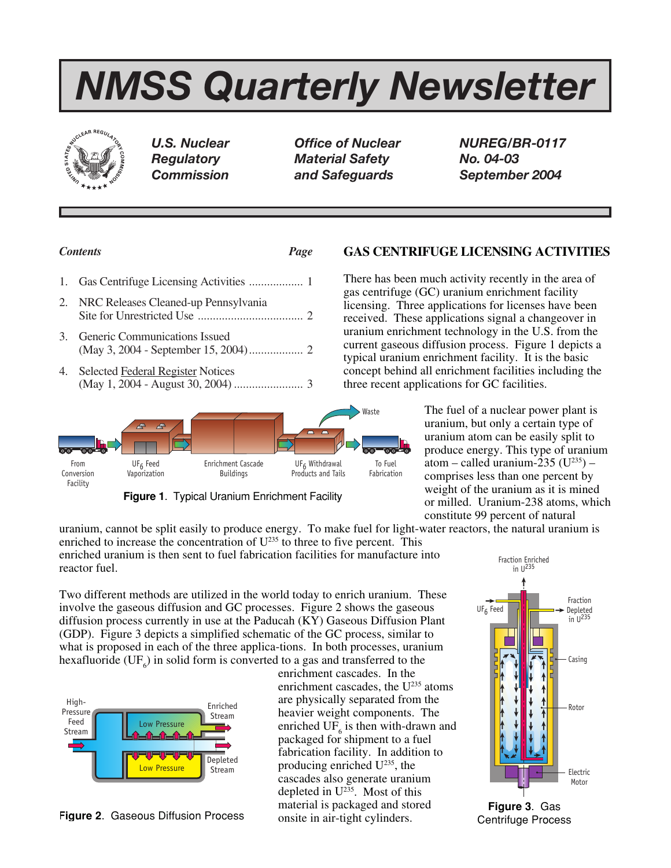# *NMSS Quarterly Newsletter*



*U.S. Nuclear Office of Nuclear NUREG/BR-0117 Regulatory Material Safety No. 04-03 Commission and Safeguards September 2004*

# *Contents Page*

|    | 2. NRC Releases Cleaned-up Pennsylvania |  |
|----|-----------------------------------------|--|
| 3. | <b>Generic Communications Issued</b>    |  |
|    | Selected Federal Register Notices       |  |



**Figure 1**. Typical Uranium Enrichment Facility

uranium, cannot be split easily to produce energy. To make fuel for light-water reactors, the natural uranium is enriched to increase the concentration of  $U^{235}$  to three to five percent. This enriched uranium is then sent to fuel fabrication facilities for manufacture into reactor fuel. Fraction Enriched

Two different methods are utilized in the world today to enrich uranium. These involve the gaseous diffusion and GC processes. Figure 2 shows the gaseous diffusion process currently in use at the Paducah (KY) Gaseous Diffusion Plant (GDP). Figure 3 depicts a simplified schematic of the GC process, similar to what is proposed in each of the three applica-tions. In both processes, uranium hexafluoride (UF<sub>6</sub>) in solid form is converted to a gas and transferred to the



enrichment cascades. In the enrichment cascades, the  $U^{235}$  atoms are physically separated from the heavier weight components. The enriched  $UF_6$  is then with-drawn and packaged for shipment to a fuel fabrication facility. In addition to producing enriched U235, the cascades also generate uranium depleted in  $U^{235}$ . Most of this material is packaged and stored onsite in air-tight cylinders. **Figure 3.** Gaseous Diffusion Process **Figure 3.** Gas **Figure 3.** Gas **Figure 3.** Gas **Figure 3.** Gas

# UF6 Feed Fraction Depleted  $in$  U<sup>235</sup>  $in U^{235}$ Casing Rotor Electric Motor

Centrifuge Process

# **GAS CENTRIFUGE LICENSING ACTIVITIES**

There has been much activity recently in the area of gas centrifuge (GC) uranium enrichment facility licensing. Three applications for licenses have been received. These applications signal a changeover in uranium enrichment technology in the U.S. from the current gaseous diffusion process. Figure 1 depicts a typical uranium enrichment facility. It is the basic concept behind all enrichment facilities including the three recent applications for GC facilities.

> The fuel of a nuclear power plant is uranium, but only a certain type of uranium atom can be easily split to produce energy. This type of uranium atom – called uranium-235 ( $U^{235}$ ) – comprises less than one percent by weight of the uranium as it is mined or milled. Uranium-238 atoms, which constitute 99 percent of natural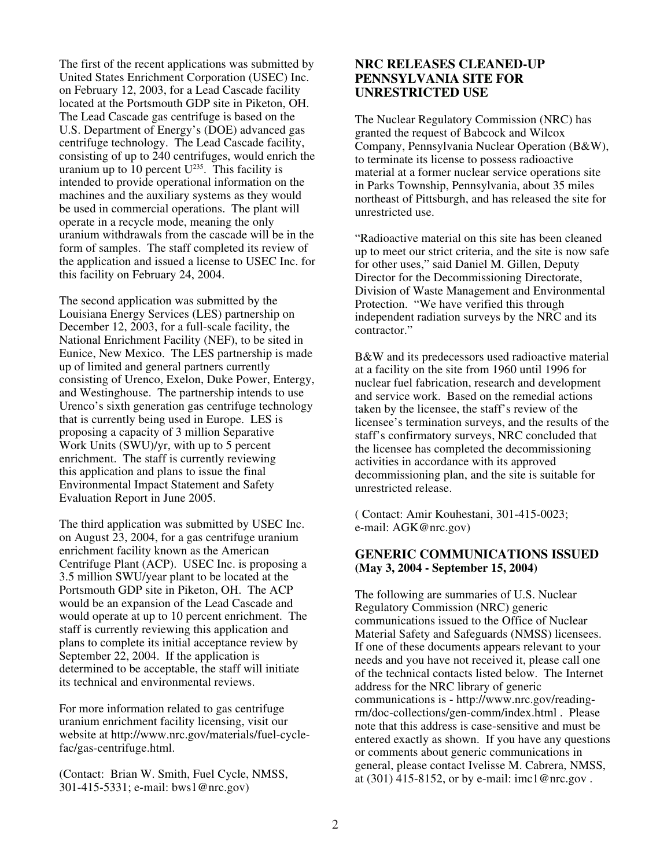The first of the recent applications was submitted by United States Enrichment Corporation (USEC) Inc. on February 12, 2003, for a Lead Cascade facility located at the Portsmouth GDP site in Piketon, OH. The Lead Cascade gas centrifuge is based on the U.S. Department of Energy's (DOE) advanced gas centrifuge technology. The Lead Cascade facility, consisting of up to 240 centrifuges, would enrich the uranium up to  $10$  percent  $U^{235}$ . This facility is intended to provide operational information on the machines and the auxiliary systems as they would be used in commercial operations. The plant will operate in a recycle mode, meaning the only uranium withdrawals from the cascade will be in the form of samples. The staff completed its review of the application and issued a license to USEC Inc. for this facility on February 24, 2004.

The second application was submitted by the Louisiana Energy Services (LES) partnership on December 12, 2003, for a full-scale facility, the National Enrichment Facility (NEF), to be sited in Eunice, New Mexico. The LES partnership is made up of limited and general partners currently consisting of Urenco, Exelon, Duke Power, Entergy, and Westinghouse. The partnership intends to use Urenco's sixth generation gas centrifuge technology that is currently being used in Europe. LES is proposing a capacity of 3 million Separative Work Units (SWU)/yr, with up to 5 percent enrichment. The staff is currently reviewing this application and plans to issue the final Environmental Impact Statement and Safety Evaluation Report in June 2005.

The third application was submitted by USEC Inc. on August 23, 2004, for a gas centrifuge uranium enrichment facility known as the American Centrifuge Plant (ACP). USEC Inc. is proposing a 3.5 million SWU/year plant to be located at the Portsmouth GDP site in Piketon, OH. The ACP would be an expansion of the Lead Cascade and would operate at up to 10 percent enrichment. The staff is currently reviewing this application and plans to complete its initial acceptance review by September 22, 2004. If the application is determined to be acceptable, the staff will initiate its technical and environmental reviews.

For more information related to gas centrifuge uranium enrichment facility licensing, visit our website at http://www.nrc.gov/materials/fuel-cyclefac/gas-centrifuge.html.

(Contact: Brian W. Smith, Fuel Cycle, NMSS, 301-415-5331; e-mail: bws1@nrc.gov)

# **NRC RELEASES CLEANED-UP PENNSYLVANIA SITE FOR UNRESTRICTED USE**

The Nuclear Regulatory Commission (NRC) has granted the request of Babcock and Wilcox Company, Pennsylvania Nuclear Operation (B&W), to terminate its license to possess radioactive material at a former nuclear service operations site in Parks Township, Pennsylvania, about 35 miles northeast of Pittsburgh, and has released the site for unrestricted use.

"Radioactive material on this site has been cleaned up to meet our strict criteria, and the site is now safe for other uses," said Daniel M. Gillen, Deputy Director for the Decommissioning Directorate, Division of Waste Management and Environmental Protection. "We have verified this through independent radiation surveys by the NRC and its contractor."

B&W and its predecessors used radioactive material at a facility on the site from 1960 until 1996 for nuclear fuel fabrication, research and development and service work. Based on the remedial actions taken by the licensee, the staff's review of the licensee's termination surveys, and the results of the staff's confirmatory surveys, NRC concluded that the licensee has completed the decommissioning activities in accordance with its approved decommissioning plan, and the site is suitable for unrestricted release.

( Contact: Amir Kouhestani, 301-415-0023; e-mail: AGK@nrc.gov)

## **GENERIC COMMUNICATIONS ISSUED (May 3, 2004 - September 15, 2004)**

The following are summaries of U.S. Nuclear Regulatory Commission (NRC) generic communications issued to the Office of Nuclear Material Safety and Safeguards (NMSS) licensees. If one of these documents appears relevant to your needs and you have not received it, please call one of the technical contacts listed below. The Internet address for the NRC library of generic communications is - http://www.nrc.gov/readingrm/doc-collections/gen-comm/index.html . Please note that this address is case-sensitive and must be entered exactly as shown. If you have any questions or comments about generic communications in general, please contact Ivelisse M. Cabrera, NMSS, at (301) 415-8152, or by e-mail: imc1@nrc.gov .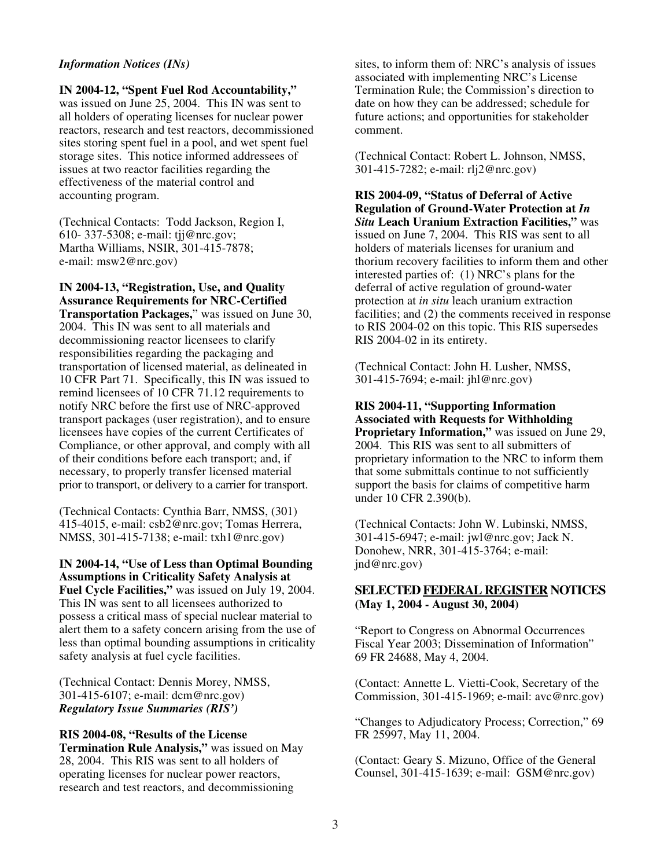#### *Information Notices (INs)*

#### **IN 2004-12, "Spent Fuel Rod Accountability,"**

was issued on June 25, 2004. This IN was sent to all holders of operating licenses for nuclear power reactors, research and test reactors, decommissioned sites storing spent fuel in a pool, and wet spent fuel storage sites. This notice informed addressees of issues at two reactor facilities regarding the effectiveness of the material control and accounting program.

(Technical Contacts: Todd Jackson, Region I, 610- 337-5308; e-mail: tjj@nrc.gov; Martha Williams, NSIR, 301-415-7878; e-mail: msw2@nrc.gov)

#### **IN 2004-13, "Registration, Use, and Quality Assurance Requirements for NRC-Certified**

**Transportation Packages,**" was issued on June 30, 2004. This IN was sent to all materials and decommissioning reactor licensees to clarify responsibilities regarding the packaging and transportation of licensed material, as delineated in 10 CFR Part 71. Specifically, this IN was issued to remind licensees of 10 CFR 71.12 requirements to notify NRC before the first use of NRC-approved transport packages (user registration), and to ensure licensees have copies of the current Certificates of Compliance, or other approval, and comply with all of their conditions before each transport; and, if necessary, to properly transfer licensed material prior to transport, or delivery to a carrier for transport.

(Technical Contacts: Cynthia Barr, NMSS, (301) 415-4015, e-mail: csb2@nrc.gov; Tomas Herrera, NMSS, 301-415-7138; e-mail: txh1@nrc.gov)

#### **IN 2004-14, "Use of Less than Optimal Bounding Assumptions in Criticality Safety Analysis at Fuel Cycle Facilities,"** was issued on July 19, 2004. This IN was sent to all licensees authorized to possess a critical mass of special nuclear material to alert them to a safety concern arising from the use of less than optimal bounding assumptions in criticality safety analysis at fuel cycle facilities.

(Technical Contact: Dennis Morey, NMSS, 301-415-6107; e-mail: dcm@nrc.gov) *Regulatory Issue Summaries (RIS')*

#### **RIS 2004-08, "Results of the License**

**Termination Rule Analysis,"** was issued on May 28, 2004. This RIS was sent to all holders of operating licenses for nuclear power reactors, research and test reactors, and decommissioning

sites, to inform them of: NRC's analysis of issues associated with implementing NRC's License Termination Rule; the Commission's direction to date on how they can be addressed; schedule for future actions; and opportunities for stakeholder comment.

(Technical Contact: Robert L. Johnson, NMSS, 301-415-7282; e-mail: rlj2@nrc.gov)

**RIS 2004-09, "Status of Deferral of Active Regulation of Ground-Water Protection at** *In Situ* **Leach Uranium Extraction Facilities,"** was issued on June 7, 2004. This RIS was sent to all holders of materials licenses for uranium and thorium recovery facilities to inform them and other interested parties of: (1) NRC's plans for the deferral of active regulation of ground-water protection at *in situ* leach uranium extraction facilities; and (2) the comments received in response to RIS 2004-02 on this topic. This RIS supersedes RIS 2004-02 in its entirety.

(Technical Contact: John H. Lusher, NMSS, 301-415-7694; e-mail: jhl@nrc.gov)

#### **RIS 2004-11, "Supporting Information Associated with Requests for Withholding Proprietary Information,"** was issued on June 29, 2004. This RIS was sent to all submitters of proprietary information to the NRC to inform them that some submittals continue to not sufficiently support the basis for claims of competitive harm

(Technical Contacts: John W. Lubinski, NMSS, 301-415-6947; e-mail: jwl@nrc.gov; Jack N. Donohew, NRR, 301-415-3764; e-mail: jnd@nrc.gov)

under 10 CFR 2.390(b).

## **SELECTED FEDERAL REGISTER NOTICES (May 1, 2004 - August 30, 2004)**

"Report to Congress on Abnormal Occurrences Fiscal Year 2003; Dissemination of Information" 69 FR 24688, May 4, 2004.

(Contact: Annette L. Vietti-Cook, Secretary of the Commission, 301-415-1969; e-mail: avc@nrc.gov)

"Changes to Adjudicatory Process; Correction," 69 FR 25997, May 11, 2004.

(Contact: Geary S. Mizuno, Office of the General Counsel, 301-415-1639; e-mail: GSM@nrc.gov)